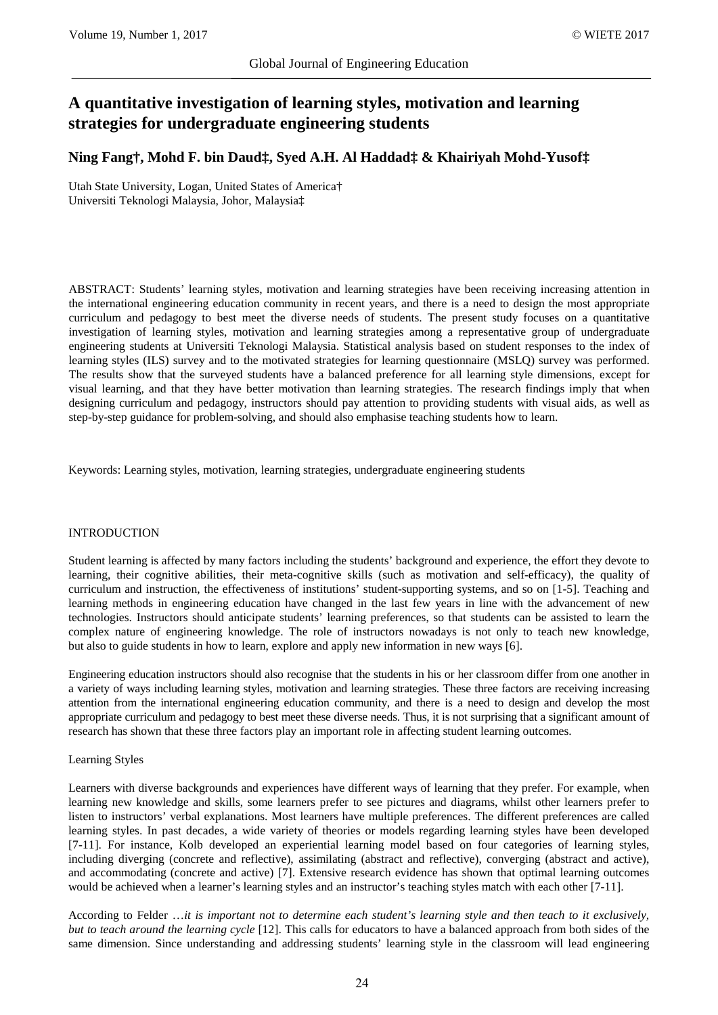# **A quantitative investigation of learning styles, motivation and learning strategies for undergraduate engineering students**

# **Ning Fang†, Mohd F. bin Daud‡, Syed A.H. Al Haddad‡ & Khairiyah Mohd-Yusof‡**

Utah State University, Logan, United States of America† Universiti Teknologi Malaysia, Johor, Malaysia‡

ABSTRACT: Students' learning styles, motivation and learning strategies have been receiving increasing attention in the international engineering education community in recent years, and there is a need to design the most appropriate curriculum and pedagogy to best meet the diverse needs of students. The present study focuses on a quantitative investigation of learning styles, motivation and learning strategies among a representative group of undergraduate engineering students at Universiti Teknologi Malaysia. Statistical analysis based on student responses to the index of learning styles (ILS) survey and to the motivated strategies for learning questionnaire (MSLQ) survey was performed. The results show that the surveyed students have a balanced preference for all learning style dimensions, except for visual learning, and that they have better motivation than learning strategies. The research findings imply that when designing curriculum and pedagogy, instructors should pay attention to providing students with visual aids, as well as step-by-step guidance for problem-solving, and should also emphasise teaching students how to learn.

Keywords: Learning styles, motivation, learning strategies, undergraduate engineering students

# INTRODUCTION

Student learning is affected by many factors including the students' background and experience, the effort they devote to learning, their cognitive abilities, their meta-cognitive skills (such as motivation and self-efficacy), the quality of curriculum and instruction, the effectiveness of institutions' student-supporting systems, and so on [1-5]. Teaching and learning methods in engineering education have changed in the last few years in line with the advancement of new technologies. Instructors should anticipate students' learning preferences, so that students can be assisted to learn the complex nature of engineering knowledge. The role of instructors nowadays is not only to teach new knowledge, but also to guide students in how to learn, explore and apply new information in new ways [6].

Engineering education instructors should also recognise that the students in his or her classroom differ from one another in a variety of ways including learning styles, motivation and learning strategies. These three factors are receiving increasing attention from the international engineering education community, and there is a need to design and develop the most appropriate curriculum and pedagogy to best meet these diverse needs. Thus, it is not surprising that a significant amount of research has shown that these three factors play an important role in affecting student learning outcomes.

#### Learning Styles

Learners with diverse backgrounds and experiences have different ways of learning that they prefer. For example, when learning new knowledge and skills, some learners prefer to see pictures and diagrams, whilst other learners prefer to listen to instructors' verbal explanations. Most learners have multiple preferences. The different preferences are called learning styles. In past decades, a wide variety of theories or models regarding learning styles have been developed [7-11]. For instance, Kolb developed an experiential learning model based on four categories of learning styles, including diverging (concrete and reflective), assimilating (abstract and reflective), converging (abstract and active), and accommodating (concrete and active) [7]. Extensive research evidence has shown that optimal learning outcomes would be achieved when a learner's learning styles and an instructor's teaching styles match with each other [7-11].

According to Felder …*it is important not to determine each student's learning style and then teach to it exclusively, but to teach around the learning cycle* [12]. This calls for educators to have a balanced approach from both sides of the same dimension. Since understanding and addressing students' learning style in the classroom will lead engineering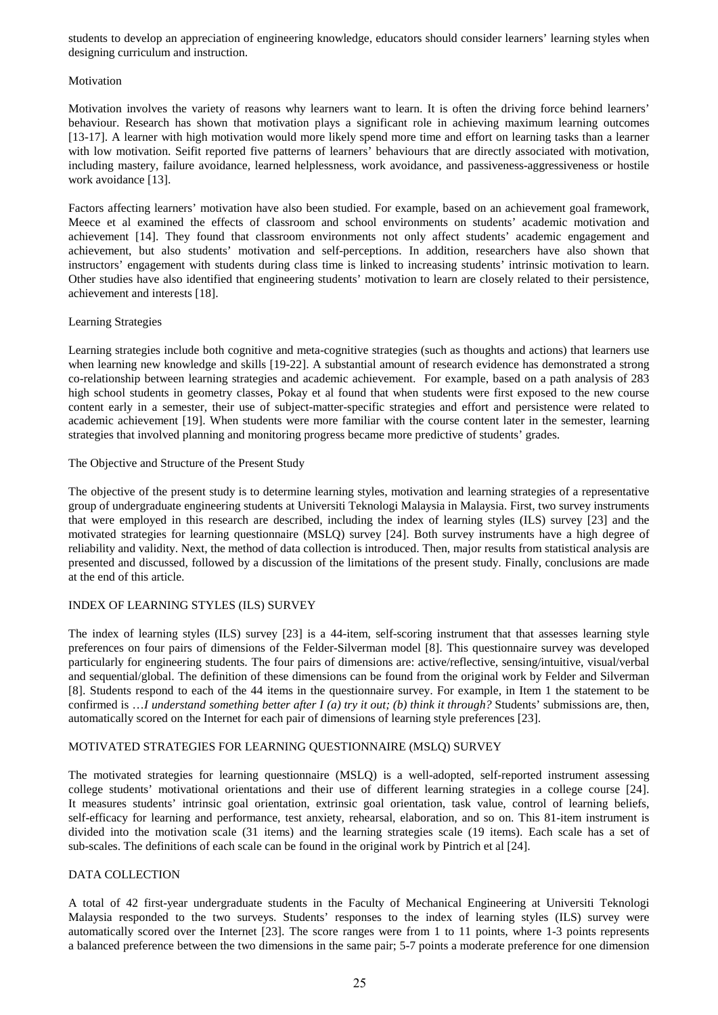students to develop an appreciation of engineering knowledge, educators should consider learners' learning styles when designing curriculum and instruction.

#### Motivation

Motivation involves the variety of reasons why learners want to learn. It is often the driving force behind learners' behaviour. Research has shown that motivation plays a significant role in achieving maximum learning outcomes [13-17]. A learner with high motivation would more likely spend more time and effort on learning tasks than a learner with low motivation. Seifit reported five patterns of learners' behaviours that are directly associated with motivation, including mastery, failure avoidance, learned helplessness, work avoidance, and passiveness-aggressiveness or hostile work avoidance [13].

Factors affecting learners' motivation have also been studied. For example, based on an achievement goal framework, Meece et al examined the effects of classroom and school environments on students' academic motivation and achievement [14]. They found that classroom environments not only affect students' academic engagement and achievement, but also students' motivation and self-perceptions. In addition, researchers have also shown that instructors' engagement with students during class time is linked to increasing students' intrinsic motivation to learn. Other studies have also identified that engineering students' motivation to learn are closely related to their persistence, achievement and interests [18].

#### Learning Strategies

Learning strategies include both cognitive and meta-cognitive strategies (such as thoughts and actions) that learners use when learning new knowledge and skills [19-22]. A substantial amount of research evidence has demonstrated a strong co-relationship between learning strategies and academic achievement. For example, based on a path analysis of 283 high school students in geometry classes, Pokay et al found that when students were first exposed to the new course content early in a semester, their use of subject-matter-specific strategies and effort and persistence were related to academic achievement [19]. When students were more familiar with the course content later in the semester, learning strategies that involved planning and monitoring progress became more predictive of students' grades.

#### The Objective and Structure of the Present Study

The objective of the present study is to determine learning styles, motivation and learning strategies of a representative group of undergraduate engineering students at Universiti Teknologi Malaysia in Malaysia. First, two survey instruments that were employed in this research are described, including the index of learning styles (ILS) survey [23] and the motivated strategies for learning questionnaire (MSLQ) survey [24]. Both survey instruments have a high degree of reliability and validity. Next, the method of data collection is introduced. Then, major results from statistical analysis are presented and discussed, followed by a discussion of the limitations of the present study. Finally, conclusions are made at the end of this article.

# INDEX OF LEARNING STYLES (ILS) SURVEY

The index of learning styles (ILS) survey [23] is a 44-item, self-scoring instrument that that assesses learning style preferences on four pairs of dimensions of the Felder-Silverman model [8]. This questionnaire survey was developed particularly for engineering students. The four pairs of dimensions are: active/reflective, sensing/intuitive, visual/verbal and sequential/global. The definition of these dimensions can be found from the original work by Felder and Silverman [8]. Students respond to each of the 44 items in the questionnaire survey. For example, in Item 1 the statement to be confirmed is …*I understand something better after I (a) try it out; (b) think it through?* Students' submissions are, then, automatically scored on the Internet for each pair of dimensions of learning style preferences [23].

# MOTIVATED STRATEGIES FOR LEARNING QUESTIONNAIRE (MSLQ) SURVEY

The motivated strategies for learning questionnaire (MSLQ) is a well-adopted, self-reported instrument assessing college students' motivational orientations and their use of different learning strategies in a college course [24]. It measures students' intrinsic goal orientation, extrinsic goal orientation, task value, control of learning beliefs, self-efficacy for learning and performance, test anxiety, rehearsal, elaboration, and so on. This 81-item instrument is divided into the motivation scale (31 items) and the learning strategies scale (19 items). Each scale has a set of sub-scales. The definitions of each scale can be found in the original work by Pintrich et al [24].

# DATA COLLECTION

A total of 42 first-year undergraduate students in the Faculty of Mechanical Engineering at Universiti Teknologi Malaysia responded to the two surveys. Students' responses to the index of learning styles (ILS) survey were automatically scored over the Internet [23]. The score ranges were from 1 to 11 points, where 1-3 points represents a balanced preference between the two dimensions in the same pair; 5-7 points a moderate preference for one dimension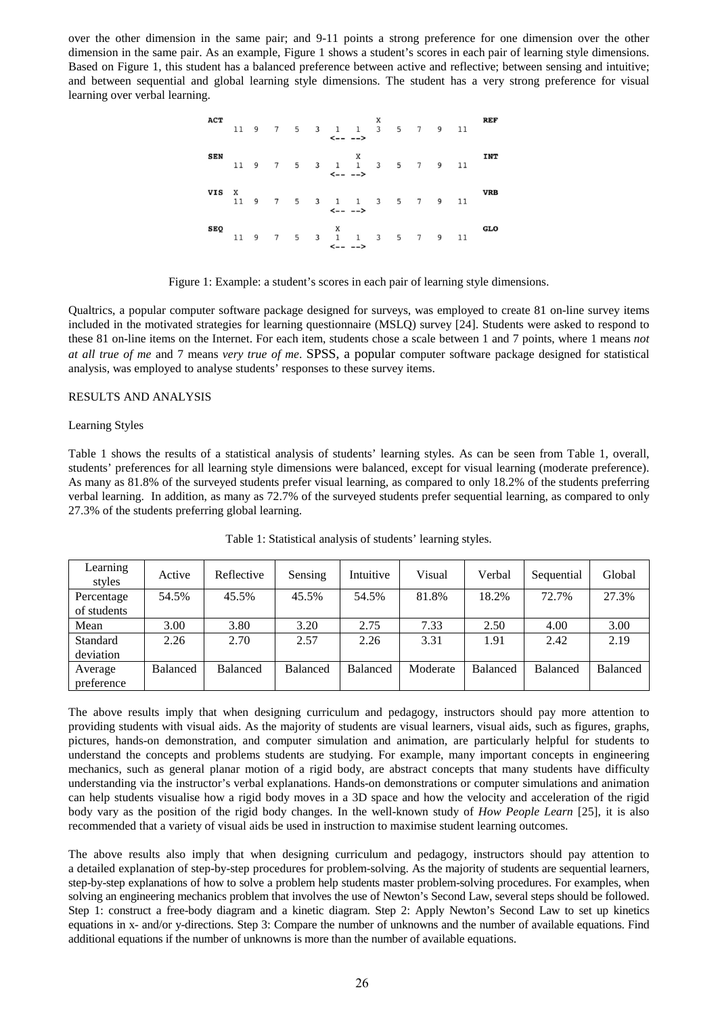over the other dimension in the same pair; and 9-11 points a strong preference for one dimension over the other dimension in the same pair. As an example, Figure 1 shows a student's scores in each pair of learning style dimensions. Based on Figure 1, this student has a balanced preference between active and reflective; between sensing and intuitive; and between sequential and global learning style dimensions. The student has a very strong preference for visual learning over verbal learning.

| <b>ACT</b> |   |  |  |                                               |  |  |  | REF        |
|------------|---|--|--|-----------------------------------------------|--|--|--|------------|
| <b>SEN</b> |   |  |  |                                               |  |  |  | <b>INT</b> |
| <b>VIS</b> | X |  |  | $\leftarrow - -$                              |  |  |  | <b>VRB</b> |
| SEQ        |   |  |  | 11 9 7 5 3 1 1 3 5 7 9 11<br>$\leftarrow - -$ |  |  |  | GLO        |

Figure 1: Example: a student's scores in each pair of learning style dimensions.

Qualtrics, a popular computer software package designed for surveys, was employed to create 81 on-line survey items included in the motivated strategies for learning questionnaire (MSLQ) survey [24]. Students were asked to respond to these 81 on-line items on the Internet. For each item, students chose a scale between 1 and 7 points, where 1 means *not at all true of me* and 7 means *very true of me*. SPSS, a popular computer software package designed for statistical analysis, was employed to analyse students' responses to these survey items.

#### RESULTS AND ANALYSIS

#### Learning Styles

Table 1 shows the results of a statistical analysis of students' learning styles. As can be seen from Table 1, overall, students' preferences for all learning style dimensions were balanced, except for visual learning (moderate preference). As many as 81.8% of the surveyed students prefer visual learning, as compared to only 18.2% of the students preferring verbal learning. In addition, as many as 72.7% of the surveyed students prefer sequential learning, as compared to only 27.3% of the students preferring global learning.

| Learning<br>styles    | Active          | Reflective      | Sensing  | Intuitive | Visual   | Verbal          | Sequential      | Global          |
|-----------------------|-----------------|-----------------|----------|-----------|----------|-----------------|-----------------|-----------------|
| Percentage            | 54.5%           | 45.5%           | 45.5%    | 54.5%     | 81.8%    | 18.2%           | 72.7%           | 27.3%           |
| of students           |                 |                 |          |           |          |                 |                 |                 |
| Mean                  | 3.00            | 3.80            | 3.20     | 2.75      | 7.33     | 2.50            | 4.00            | 3.00            |
| Standard              | 2.26            | 2.70            | 2.57     | 2.26      | 3.31     | 1.91            | 2.42            | 2.19            |
| deviation             |                 |                 |          |           |          |                 |                 |                 |
| Average<br>preference | <b>Balanced</b> | <b>Balanced</b> | Balanced | Balanced  | Moderate | <b>Balanced</b> | <b>Balanced</b> | <b>Balanced</b> |

Table 1: Statistical analysis of students' learning styles.

The above results imply that when designing curriculum and pedagogy, instructors should pay more attention to providing students with visual aids. As the majority of students are visual learners, visual aids, such as figures, graphs, pictures, hands-on demonstration, and computer simulation and animation, are particularly helpful for students to understand the concepts and problems students are studying. For example, many important concepts in engineering mechanics, such as general planar motion of a rigid body, are abstract concepts that many students have difficulty understanding via the instructor's verbal explanations. Hands-on demonstrations or computer simulations and animation can help students visualise how a rigid body moves in a 3D space and how the velocity and acceleration of the rigid body vary as the position of the rigid body changes. In the well-known study of *How People Learn* [25], it is also recommended that a variety of visual aids be used in instruction to maximise student learning outcomes.

The above results also imply that when designing curriculum and pedagogy, instructors should pay attention to a detailed explanation of step-by-step procedures for problem-solving. As the majority of students are sequential learners, step-by-step explanations of how to solve a problem help students master problem-solving procedures. For examples, when solving an engineering mechanics problem that involves the use of Newton's Second Law, several steps should be followed. Step 1: construct a free-body diagram and a kinetic diagram. Step 2: Apply Newton's Second Law to set up kinetics equations in x- and/or y-directions. Step 3: Compare the number of unknowns and the number of available equations. Find additional equations if the number of unknowns is more than the number of available equations.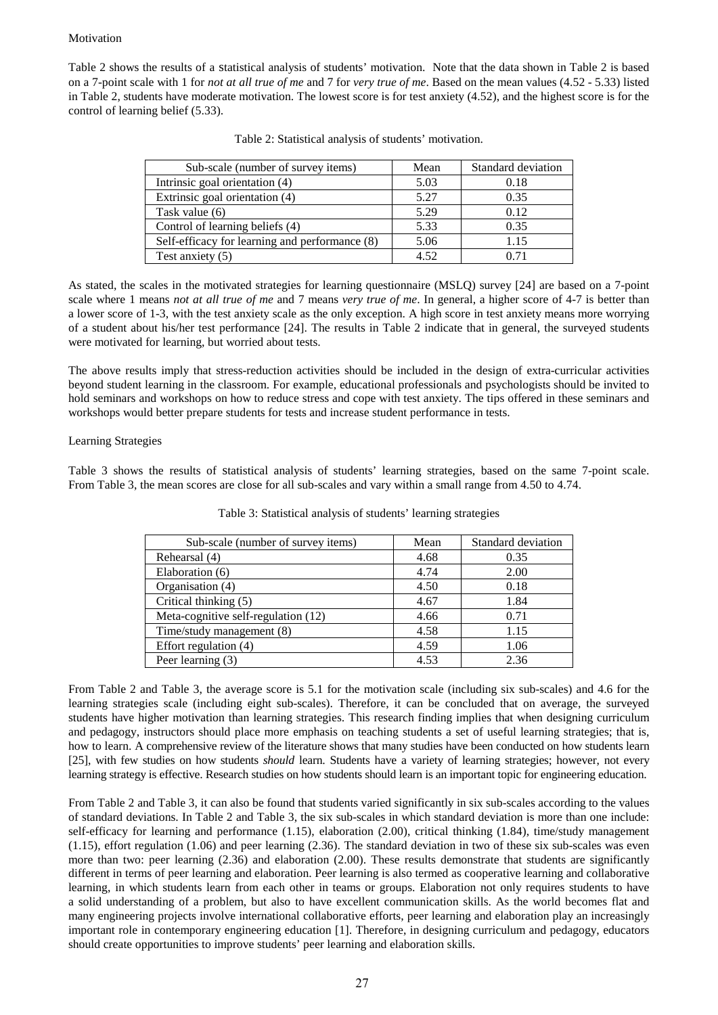### Motivation

Table 2 shows the results of a statistical analysis of students' motivation. Note that the data shown in Table 2 is based on a 7-point scale with 1 for *not at all true of me* and 7 for *very true of me*. Based on the mean values (4.52 - 5.33) listed in Table 2, students have moderate motivation. The lowest score is for test anxiety (4.52), and the highest score is for the control of learning belief (5.33).

| Sub-scale (number of survey items)             | Mean | Standard deviation |
|------------------------------------------------|------|--------------------|
| Intrinsic goal orientation (4)                 | 5.03 | 0.18               |
| Extrinsic goal orientation (4)                 | 5.27 | 0.35               |
| Task value (6)                                 | 5.29 | 0.12               |
| Control of learning beliefs (4)                | 5.33 | 0.35               |
| Self-efficacy for learning and performance (8) | 5.06 | 1.15               |
| Test anxiety $(5)$                             | 4.52 | 0.71               |

| Table 2: Statistical analysis of students' motivation. |
|--------------------------------------------------------|
|--------------------------------------------------------|

As stated, the scales in the motivated strategies for learning questionnaire (MSLQ) survey [24] are based on a 7-point scale where 1 means *not at all true of me* and 7 means *very true of me*. In general, a higher score of 4-7 is better than a lower score of 1-3, with the test anxiety scale as the only exception. A high score in test anxiety means more worrying of a student about his/her test performance [24]. The results in Table 2 indicate that in general, the surveyed students were motivated for learning, but worried about tests.

The above results imply that stress-reduction activities should be included in the design of extra-curricular activities beyond student learning in the classroom. For example, educational professionals and psychologists should be invited to hold seminars and workshops on how to reduce stress and cope with test anxiety. The tips offered in these seminars and workshops would better prepare students for tests and increase student performance in tests.

# Learning Strategies

Table 3 shows the results of statistical analysis of students' learning strategies, based on the same 7-point scale. From Table 3, the mean scores are close for all sub-scales and vary within a small range from 4.50 to 4.74.

| Sub-scale (number of survey items)  | Mean | Standard deviation |
|-------------------------------------|------|--------------------|
| Rehearsal (4)                       | 4.68 | 0.35               |
| Elaboration (6)                     | 4.74 | 2.00               |
| Organisation (4)                    | 4.50 | 0.18               |
| Critical thinking (5)               | 4.67 | 1.84               |
| Meta-cognitive self-regulation (12) | 4.66 | 0.71               |
| Time/study management (8)           | 4.58 | 1.15               |
| Effort regulation (4)               | 4.59 | 1.06               |
| Peer learning (3)                   | 4.53 | 2.36               |

Table 3: Statistical analysis of students' learning strategies

From Table 2 and Table 3, the average score is 5.1 for the motivation scale (including six sub-scales) and 4.6 for the learning strategies scale (including eight sub-scales). Therefore, it can be concluded that on average, the surveyed students have higher motivation than learning strategies. This research finding implies that when designing curriculum and pedagogy, instructors should place more emphasis on teaching students a set of useful learning strategies; that is, how to learn. A comprehensive review of the literature shows that many studies have been conducted on how students learn [25], with few studies on how students *should* learn. Students have a variety of learning strategies; however, not every learning strategy is effective. Research studies on how students should learn is an important topic for engineering education.

From Table 2 and Table 3, it can also be found that students varied significantly in six sub-scales according to the values of standard deviations. In Table 2 and Table 3, the six sub-scales in which standard deviation is more than one include: self-efficacy for learning and performance (1.15), elaboration (2.00), critical thinking (1.84), time/study management (1.15), effort regulation (1.06) and peer learning (2.36). The standard deviation in two of these six sub-scales was even more than two: peer learning (2.36) and elaboration (2.00). These results demonstrate that students are significantly different in terms of peer learning and elaboration. Peer learning is also termed as cooperative learning and collaborative learning, in which students learn from each other in teams or groups. Elaboration not only requires students to have a solid understanding of a problem, but also to have excellent communication skills. As the world becomes flat and many engineering projects involve international collaborative efforts, peer learning and elaboration play an increasingly important role in contemporary engineering education [1]. Therefore, in designing curriculum and pedagogy, educators should create opportunities to improve students' peer learning and elaboration skills.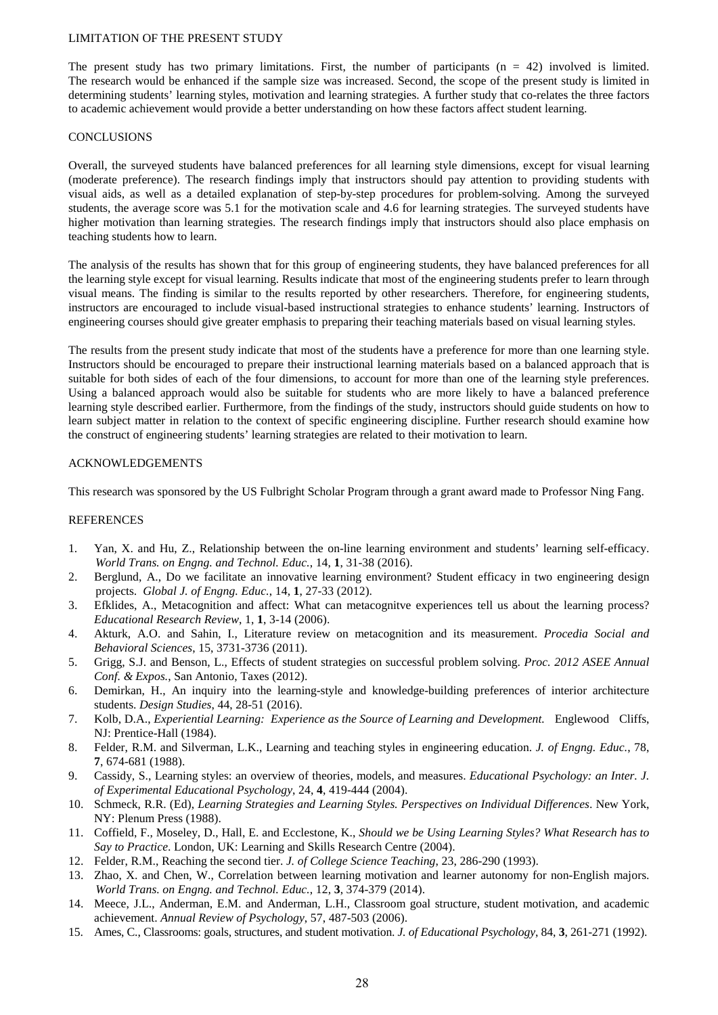#### LIMITATION OF THE PRESENT STUDY

The present study has two primary limitations. First, the number of participants  $(n = 42)$  involved is limited. The research would be enhanced if the sample size was increased. Second, the scope of the present study is limited in determining students' learning styles, motivation and learning strategies. A further study that co-relates the three factors to academic achievement would provide a better understanding on how these factors affect student learning.

### **CONCLUSIONS**

Overall, the surveyed students have balanced preferences for all learning style dimensions, except for visual learning (moderate preference). The research findings imply that instructors should pay attention to providing students with visual aids, as well as a detailed explanation of step-by-step procedures for problem-solving. Among the surveyed students, the average score was 5.1 for the motivation scale and 4.6 for learning strategies. The surveyed students have higher motivation than learning strategies. The research findings imply that instructors should also place emphasis on teaching students how to learn.

The analysis of the results has shown that for this group of engineering students, they have balanced preferences for all the learning style except for visual learning. Results indicate that most of the engineering students prefer to learn through visual means. The finding is similar to the results reported by other researchers. Therefore, for engineering students, instructors are encouraged to include visual-based instructional strategies to enhance students' learning. Instructors of engineering courses should give greater emphasis to preparing their teaching materials based on visual learning styles.

The results from the present study indicate that most of the students have a preference for more than one learning style. Instructors should be encouraged to prepare their instructional learning materials based on a balanced approach that is suitable for both sides of each of the four dimensions, to account for more than one of the learning style preferences. Using a balanced approach would also be suitable for students who are more likely to have a balanced preference learning style described earlier. Furthermore, from the findings of the study, instructors should guide students on how to learn subject matter in relation to the context of specific engineering discipline. Further research should examine how the construct of engineering students' learning strategies are related to their motivation to learn.

# ACKNOWLEDGEMENTS

This research was sponsored by the US Fulbright Scholar Program through a grant award made to Professor Ning Fang.

# REFERENCES

- 1. Yan, X. and Hu, Z., Relationship between the on-line learning environment and students' learning self-efficacy. *World Trans. on Engng. and Technol. Educ.*, 14, **1**, 31-38 (2016).
- 2. Berglund, A., Do we facilitate an innovative learning environment? Student efficacy in two engineering design projects. *Global J. of Engng. Educ.*, 14, **1**, 27-33 (2012).
- 3. Efklides, A., Metacognition and affect: What can metacognitve experiences tell us about the learning process? *Educational Research Review*, 1, **1**, 3-14 (2006).
- 4. Akturk, A.O. and Sahin, I., Literature review on metacognition and its measurement. *Procedia Social and Behavioral Sciences*, 15, 3731-3736 (2011).
- 5. Grigg, S.J. and Benson, L., Effects of student strategies on successful problem solving. *Proc. 2012 ASEE Annual Conf. & Expos.*, San Antonio, Taxes (2012).
- 6. Demirkan, H., An inquiry into the learning-style and knowledge-building preferences of interior architecture students. *Design Studies*, 44, 28-51 (2016).
- 7. Kolb, D.A., *Experiential Learning: Experience as the Source of Learning and Development.* Englewood Cliffs, NJ: Prentice-Hall (1984).
- 8. Felder, R.M. and Silverman, L.K., Learning and teaching styles in engineering education. *J. of Engng. Educ.*, 78, **7**, 674-681 (1988).
- 9. Cassidy, S., Learning styles: an overview of theories, models, and measures. *Educational Psychology: an Inter. J. of Experimental Educational Psychology*, 24, **4**, 419-444 (2004).
- 10. Schmeck, R.R. (Ed), *Learning Strategies and Learning Styles. Perspectives on Individual Differences*. New York, NY: Plenum Press (1988).
- 11. Coffield, F., Moseley, D., Hall, E. and Ecclestone, K., *Should we be Using Learning Styles? What Research has to Say to Practice*. London, UK: Learning and Skills Research Centre (2004).
- 12. Felder, R.M., Reaching the second tier. *J. of College Science Teaching*, 23, 286-290 (1993).
- 13. Zhao, X. and Chen, W., Correlation between learning motivation and learner autonomy for non-English majors. *World Trans. on Engng. and Technol. Educ.*, 12, **3**, 374-379 (2014).
- 14. Meece, J.L., Anderman, E.M. and Anderman, L.H., Classroom goal structure, student motivation, and academic achievement. *Annual Review of Psychology*, 57, 487-503 (2006).
- 15. Ames, C., Classrooms: goals, structures, and student motivation. *J. of Educational Psychology*, 84, **3**, 261-271 (1992).